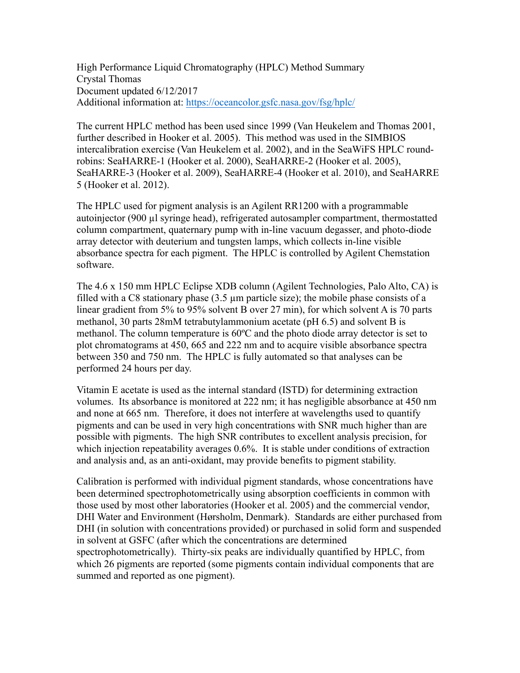High Performance Liquid Chromatography (HPLC) Method Summary Crystal Thomas Document updated 6/12/2017 Additional information at: https://oceancolor.gsfc.nasa.gov/fsg/hplc/

The current HPLC method has been used since 1999 (Van Heukelem and Thomas 2001, further described in Hooker et al. 2005). This method was used in the SIMBIOS intercalibration exercise (Van Heukelem et al. 2002), and in the SeaWiFS HPLC roundrobins: SeaHARRE-1 (Hooker et al. 2000), SeaHARRE-2 (Hooker et al. 2005), SeaHARRE-3 (Hooker et al. 2009), SeaHARRE-4 (Hooker et al. 2010), and SeaHARRE 5 (Hooker et al. 2012).

The HPLC used for pigment analysis is an Agilent RR1200 with a programmable autoinjector (900 µl syringe head), refrigerated autosampler compartment, thermostatted column compartment, quaternary pump with in-line vacuum degasser, and photo-diode array detector with deuterium and tungsten lamps, which collects in-line visible absorbance spectra for each pigment. The HPLC is controlled by Agilent Chemstation software.

The 4.6 x 150 mm HPLC Eclipse XDB column (Agilent Technologies, Palo Alto, CA) is filled with a C8 stationary phase (3.5 µm particle size); the mobile phase consists of a linear gradient from 5% to 95% solvent B over 27 min), for which solvent A is 70 parts methanol, 30 parts 28mM tetrabutylammonium acetate (pH 6.5) and solvent B is methanol. The column temperature is 60ºC and the photo diode array detector is set to plot chromatograms at 450, 665 and 222 nm and to acquire visible absorbance spectra between 350 and 750 nm. The HPLC is fully automated so that analyses can be performed 24 hours per day.

Vitamin E acetate is used as the internal standard (ISTD) for determining extraction volumes. Its absorbance is monitored at 222 nm; it has negligible absorbance at 450 nm and none at 665 nm. Therefore, it does not interfere at wavelengths used to quantify pigments and can be used in very high concentrations with SNR much higher than are possible with pigments. The high SNR contributes to excellent analysis precision, for which injection repeatability averages 0.6%. It is stable under conditions of extraction and analysis and, as an anti-oxidant, may provide benefits to pigment stability.

Calibration is performed with individual pigment standards, whose concentrations have been determined spectrophotometrically using absorption coefficients in common with those used by most other laboratories (Hooker et al. 2005) and the commercial vendor, DHI Water and Environment (Hørsholm, Denmark). Standards are either purchased from DHI (in solution with concentrations provided) or purchased in solid form and suspended in solvent at GSFC (after which the concentrations are determined spectrophotometrically). Thirty-six peaks are individually quantified by HPLC, from which 26 pigments are reported (some pigments contain individual components that are summed and reported as one pigment).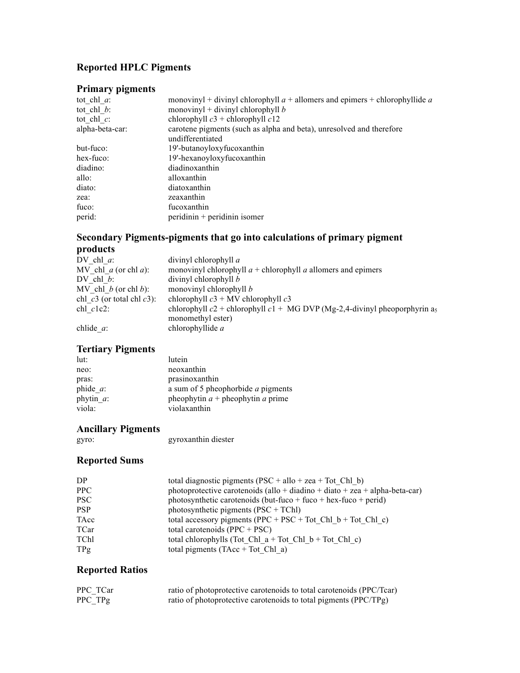# **Reported HPLC Pigments**

### **Primary pigments**

| tot chl $a$ :   | monovinyl + divinyl chlorophyll $a$ + allomers and epimers + chlorophyllide $a$ |
|-----------------|---------------------------------------------------------------------------------|
| tot chl $b$ :   | monovinyl + divinyl chlorophyll $b$                                             |
| tot chl $c$ :   | chlorophyll $c3$ + chlorophyll $c12$                                            |
| alpha-beta-car: | carotene pigments (such as alpha and beta), unresolved and therefore            |
|                 | undifferentiated                                                                |
| but-fuco:       | 19'-butanoyloxyfucoxanthin                                                      |
| hex-fuco:       | 19'-hexanoyloxyfucoxanthin                                                      |
| diadino:        | diadinoxanthin                                                                  |
| allo:           | alloxanthin                                                                     |
| diato:          | diatoxanthin                                                                    |
| zea:            | zeaxanthin                                                                      |
| fuco:           | fucoxanthin                                                                     |
| perid:          | peridinin + peridinin isomer                                                    |
|                 |                                                                                 |

### **Secondary Pigments-pigments that go into calculations of primary pigment products**

| DV chl $a$ :                   | divinyl chlorophyll a                                                         |
|--------------------------------|-------------------------------------------------------------------------------|
| MV chl $a$ (or chl $a$ ):      | monovinyl chlorophyll $a$ + chlorophyll $a$ allomers and epimers              |
| DV chl $b$ :                   | divinyl chlorophyll b                                                         |
| MV chl $b$ (or chl $b$ ):      | monovinyl chlorophyll $b$                                                     |
| chl $c3$ (or total chl $c3$ ): | chlorophyll $c3 + MV$ chlorophyll $c3$                                        |
| $chl$ $clc2$ :                 | chlorophyll $c2$ + chlorophyll $c1$ + MG DVP (Mg-2,4-divinyl pheoporphyrin as |
|                                | monomethyl ester)                                                             |
| chlide $a$ :                   | chlorophyllide $a$                                                            |

# **Tertiary Pigments**

| lutein                                    |
|-------------------------------------------|
| neoxanthin                                |
| prasinoxanthin                            |
| a sum of 5 pheophorbide <i>a</i> pigments |
| pheophytin $a$ + pheophytin $a$ prime     |
| violaxanthin                              |
|                                           |

# **Ancillary Pigments**

gyro: gyroxanthin diester

## **Reported Sums**

| DP.         | total diagnostic pigments ( $PSC + allo + zea + Tot Chl b$ )                |
|-------------|-----------------------------------------------------------------------------|
| PPC.        | photoprotective carotenoids (allo + diadino + diato + zea + alpha-beta-car) |
| PSC.        | photosynthetic carotenoids (but-fuco + fuco + hex-fuco + perid)             |
| <b>PSP</b>  | photosynthetic pigments $(PSC + TChI)$                                      |
| TAcc        | total accessory pigments (PPC + PSC + Tot Chl $b$ + Tot Chl c)              |
| <b>TCar</b> | total carotenoids $(PPC + PSC)$                                             |
| TChl        | total chlorophylls (Tot Chl $a + Tot$ Chl $b + Tot$ Chl c)                  |
| TPg         | total pigments $(TAcc + Tot \text{ Chl a})$                                 |

### **Reported Ratios**

| PPC TCar | ratio of photoprotective carotenoids to total carotenoids (PPC/Tcar) |
|----------|----------------------------------------------------------------------|
| PPC_TPg  | ratio of photoprotective carotenoids to total pigments (PPC/TPg)     |